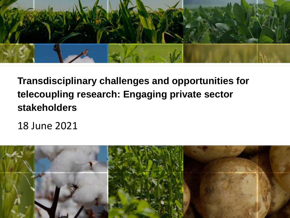

#### **Transdisciplinary challenges and opportunities for telecoupling research: Engaging private sector stakeholders**

18 June 2021

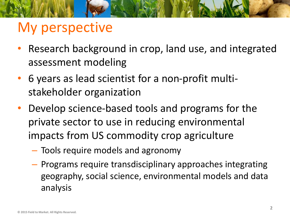## My perspective

- Research background in crop, land use, and integrated assessment modeling
- 6 years as lead scientist for a non-profit multistakeholder organization
- Develop science-based tools and programs for the private sector to use in reducing environmental impacts from US commodity crop agriculture
	- Tools require models and agronomy
	- Programs require transdisciplinary approaches integrating geography, social science, environmental models and data analysis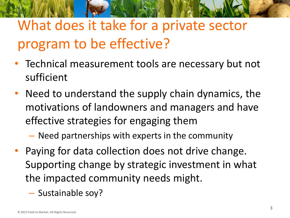# What does it take for a private sector program to be effective?

- Technical measurement tools are necessary but not sufficient
- Need to understand the supply chain dynamics, the motivations of landowners and managers and have effective strategies for engaging them
	- Need partnerships with experts in the community
- Paying for data collection does not drive change. Supporting change by strategic investment in what the impacted community needs might.
	- Sustainable soy?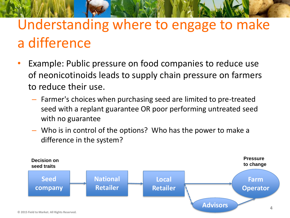# Understanding where to engage to make a difference

- Example: Public pressure on food companies to reduce use of neonicotinoids leads to supply chain pressure on farmers to reduce their use.
	- Farmer's choices when purchasing seed are limited to pre-treated seed with a replant guarantee OR poor performing untreated seed with no guarantee
	- Who is in control of the options? Who has the power to make a difference in the system?

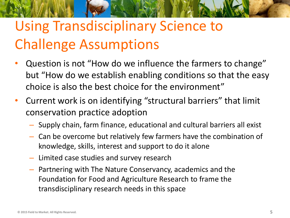# Using Transdisciplinary Science to Challenge Assumptions

- Question is not "How do we influence the farmers to change" but "How do we establish enabling conditions so that the easy choice is also the best choice for the environment"
- Current work is on identifying "structural barriers" that limit conservation practice adoption
	- Supply chain, farm finance, educational and cultural barriers all exist
	- Can be overcome but relatively few farmers have the combination of knowledge, skills, interest and support to do it alone
	- Limited case studies and survey research
	- Partnering with The Nature Conservancy, academics and the Foundation for Food and Agriculture Research to frame the transdisciplinary research needs in this space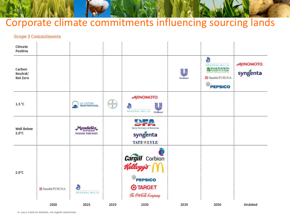#### Corporate climate commitments influencing sourcing lands

#### **Scope 3 Commitments**

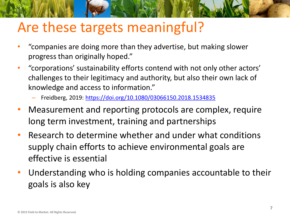## Are these targets meaningful?

- "companies are doing more than they advertise, but making slower progress than originally hoped."
- "corporations' sustainability efforts contend with not only other actors' challenges to their legitimacy and authority, but also their own lack of knowledge and access to information."
	- Freidberg, 2019: <https://doi.org/10.1080/03066150.2018.1534835>
- Measurement and reporting protocols are complex, require long term investment, training and partnerships
- Research to determine whether and under what conditions supply chain efforts to achieve environmental goals are effective is essential
- Understanding who is holding companies accountable to their goals is also key